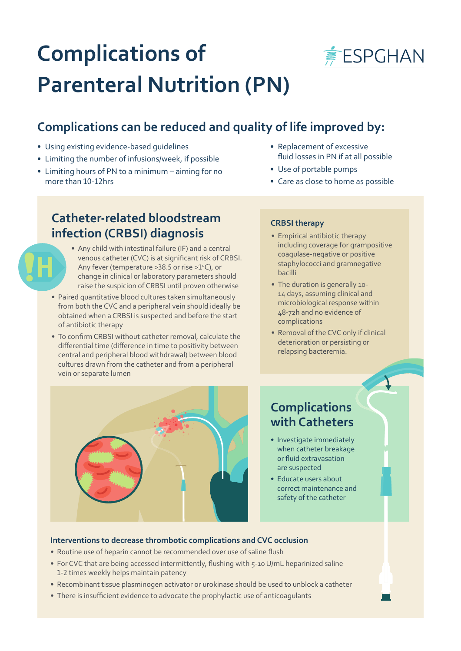

# **Complications of Parenteral Nutrition (PN)**

# **Complications can be reduced and quality of life improved by:**

- Using existing evidence-based guidelines
- Limiting the number of infusions/week, if possible
- Limiting hours of PN to a minimum aiming for no more than 10-12hrs

# **Catheter-related bloodstream infection (CRBSI) diagnosis**

- Any child with intestinal failure (IF) and a central venous catheter (CVC) is at significant risk of CRBSI. Any fever (temperature  $>38.5$  or rise  $>1°C$ ), or change in clinical or laboratory parameters should raise the suspicion of CRBSI until proven otherwise
- Paired quantitative blood cultures taken simultaneously from both the CVC and a peripheral vein should ideally be obtained when a CRBSI is suspected and before the start of antibiotic therapy
- To confirm CRBSI without catheter removal, calculate the differential time (difference in time to positivity between central and peripheral blood withdrawal) between blood cultures drawn from the catheter and from a peripheral vein or separate lumen
- Replacement of excessive fluid losses in PN if at all possible
- Use of portable pumps
- Care as close to home as possible

## **CRBSI therapy**

- Empirical antibiotic therapy including coverage for grampositive coagulase-negative or positive staphylococci and gramnegative bacilli
- The duration is generally 10- 14 days, assuming clinical and microbiological response within 48-72h and no evidence of complications
- Removal of the CVC only if clinical deterioration or persisting or relapsing bacteremia.



# **Complications with Catheters**

- Investigate immediately when catheter breakage or fluid extravasation are suspected
- Educate users about correct maintenance and safety of the catheter

## **Interventions to decrease thrombotic complications and CVC occlusion**

- Routine use of heparin cannot be recommended over use of saline flush
- For CVC that are being accessed intermittently, flushing with 5-10 U/mL heparinized saline 1-2 times weekly helps maintain patency
- Recombinant tissue plasminogen activator or urokinase should be used to unblock a catheter
- There is insufficient evidence to advocate the prophylactic use of anticoagulants